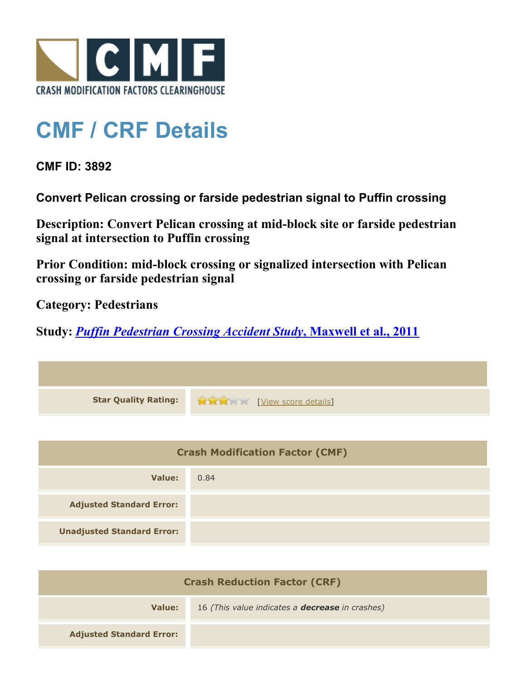

## **CMF / CRF Details**

**CMF ID: 3892**

**Convert Pelican crossing or farside pedestrian signal to Puffin crossing**

**Description: Convert Pelican crossing at mid-block site or farside pedestrian signal at intersection to Puffin crossing**

**Prior Condition: mid-block crossing or signalized intersection with Pelican crossing or farside pedestrian signal**

**Category: Pedestrians**

**Study:** *[Puffin Pedestrian Crossing Accident Study](http://www.cmfclearinghouse.org/study_detail.cfm?stid=239)***[, Maxwell et al., 2011](http://www.cmfclearinghouse.org/study_detail.cfm?stid=239)**

| <b>Star Quality Rating:</b> | View score details] |
|-----------------------------|---------------------|

| <b>Crash Modification Factor (CMF)</b> |      |
|----------------------------------------|------|
| Value:                                 | 0.84 |
| <b>Adjusted Standard Error:</b>        |      |
| <b>Unadjusted Standard Error:</b>      |      |

| <b>Crash Reduction Factor (CRF)</b> |                                                        |
|-------------------------------------|--------------------------------------------------------|
| Value:                              | 16 (This value indicates a <b>decrease</b> in crashes) |
| <b>Adjusted Standard Error:</b>     |                                                        |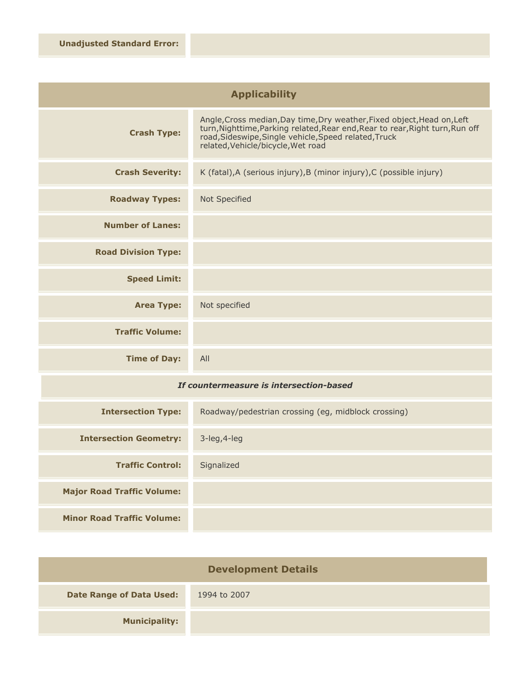| <b>Applicability</b>                    |                                                                                                                                                                                                                                                         |
|-----------------------------------------|---------------------------------------------------------------------------------------------------------------------------------------------------------------------------------------------------------------------------------------------------------|
| <b>Crash Type:</b>                      | Angle, Cross median, Day time, Dry weather, Fixed object, Head on, Left<br>turn, Nighttime, Parking related, Rear end, Rear to rear, Right turn, Run off<br>road, Sideswipe, Single vehicle, Speed related, Truck<br>related, Vehicle/bicycle, Wet road |
| <b>Crash Severity:</b>                  | K (fatal), A (serious injury), B (minor injury), C (possible injury)                                                                                                                                                                                    |
| <b>Roadway Types:</b>                   | Not Specified                                                                                                                                                                                                                                           |
| <b>Number of Lanes:</b>                 |                                                                                                                                                                                                                                                         |
| <b>Road Division Type:</b>              |                                                                                                                                                                                                                                                         |
| <b>Speed Limit:</b>                     |                                                                                                                                                                                                                                                         |
| <b>Area Type:</b>                       | Not specified                                                                                                                                                                                                                                           |
| <b>Traffic Volume:</b>                  |                                                                                                                                                                                                                                                         |
| <b>Time of Day:</b>                     | All                                                                                                                                                                                                                                                     |
| If countermeasure is intersection-based |                                                                                                                                                                                                                                                         |
|                                         |                                                                                                                                                                                                                                                         |

| <b>Intersection Type:</b>         | Roadway/pedestrian crossing (eg, midblock crossing) |
|-----------------------------------|-----------------------------------------------------|
| <b>Intersection Geometry:</b>     | $3$ -leg, $4$ -leg                                  |
| <b>Traffic Control:</b>           | Signalized                                          |
| <b>Major Road Traffic Volume:</b> |                                                     |
| <b>Minor Road Traffic Volume:</b> |                                                     |

| <b>Development Details</b>      |              |
|---------------------------------|--------------|
| <b>Date Range of Data Used:</b> | 1994 to 2007 |
| <b>Municipality:</b>            |              |